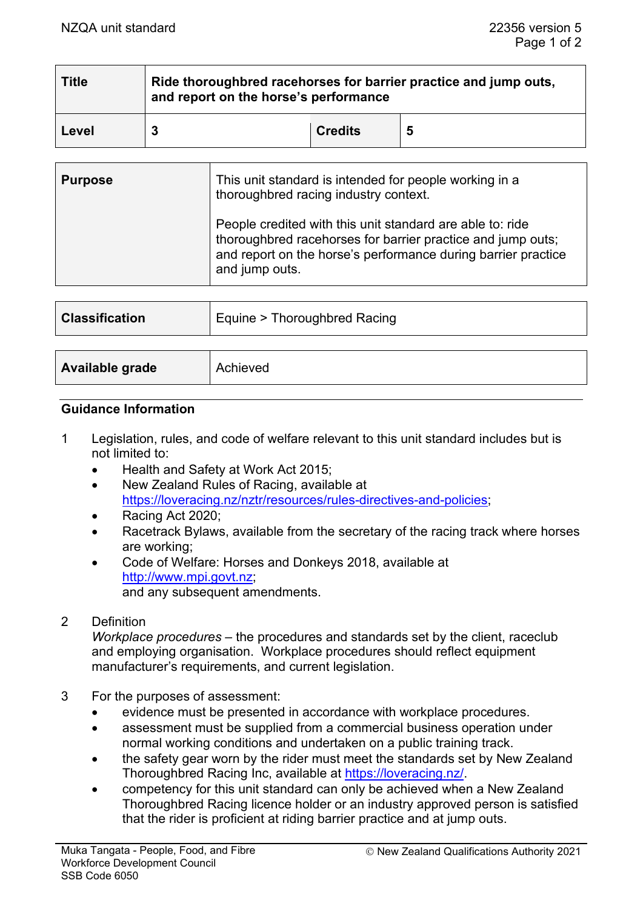| <b>Title</b> | Ride thoroughbred racehorses for barrier practice and jump outs,<br>and report on the horse's performance |                |   |  |  |
|--------------|-----------------------------------------------------------------------------------------------------------|----------------|---|--|--|
| Level        |                                                                                                           | <b>Credits</b> | 5 |  |  |

| <b>Purpose</b>        | This unit standard is intended for people working in a<br>thoroughbred racing industry context.<br>People credited with this unit standard are able to: ride<br>thoroughbred racehorses for barrier practice and jump outs;<br>and report on the horse's performance during barrier practice<br>and jump outs. |
|-----------------------|----------------------------------------------------------------------------------------------------------------------------------------------------------------------------------------------------------------------------------------------------------------------------------------------------------------|
| <b>Classification</b> | Equine > Thoroughbred Racing                                                                                                                                                                                                                                                                                   |
|                       |                                                                                                                                                                                                                                                                                                                |
| Available grade       | Achieved                                                                                                                                                                                                                                                                                                       |

#### **Guidance Information**

- 1 Legislation, rules, and code of welfare relevant to this unit standard includes but is not limited to:
	- Health and Safety at Work Act 2015;
	- New Zealand Rules of Racing, available at [https://loveracing.nz/nztr/resources/rules-directives-and-policies;](https://loveracing.nz/nztr/resources/rules-directives-and-policies)
	- Racing Act 2020;
	- Racetrack Bylaws, available from the secretary of the racing track where horses are working;
	- Code of Welfare: Horses and Donkeys 2018, available at [http://www.mpi.govt.nz;](http://www.mpi.govt.nz/) and any subsequent amendments.

# 2 Definition

*Workplace procedures* – the procedures and standards set by the client, raceclub and employing organisation. Workplace procedures should reflect equipment manufacturer's requirements, and current legislation.

- 3 For the purposes of assessment:
	- evidence must be presented in accordance with workplace procedures.
	- assessment must be supplied from a commercial business operation under normal working conditions and undertaken on a public training track.
	- the safety gear worn by the rider must meet the standards set by New Zealand Thoroughbred Racing Inc, available at [https://loveracing.nz/.](https://loveracing.nz/)
	- competency for this unit standard can only be achieved when a New Zealand Thoroughbred Racing licence holder or an industry approved person is satisfied that the rider is proficient at riding barrier practice and at jump outs.